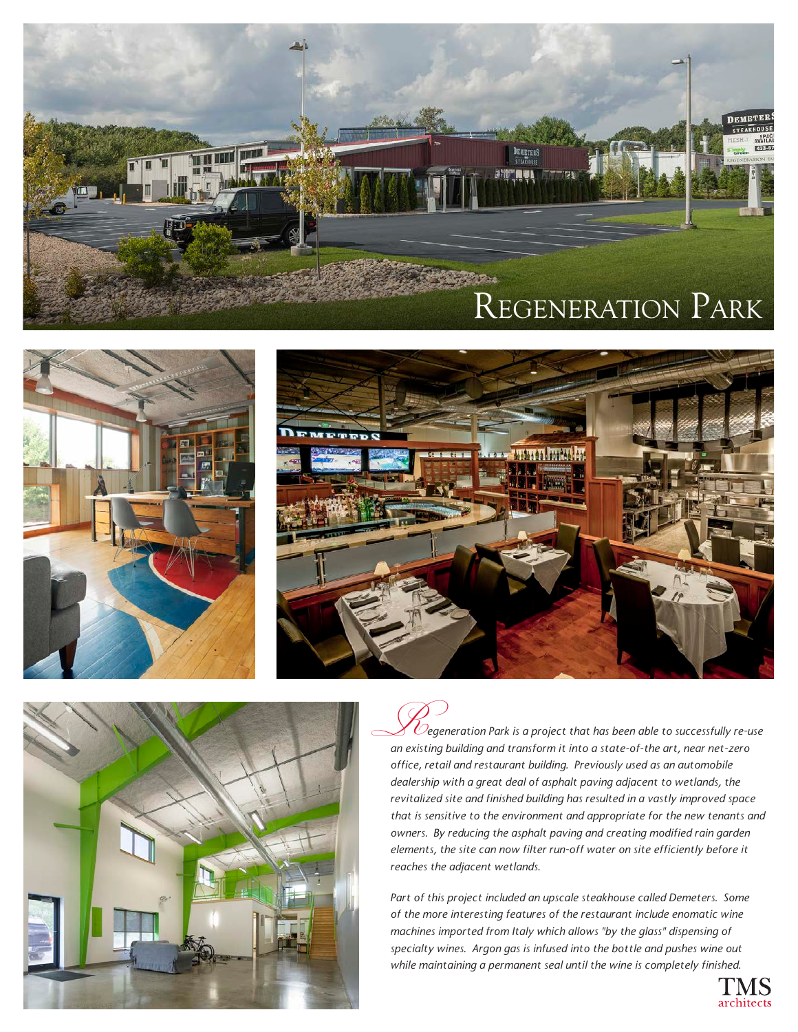







 $\emph{C}$ egeneration Park is a project that has been able to successfully re-use *an existing building and transform it into a state-of-the art, near net-zero*  R *office, retail and restaurant building. Previously used as an automobile dealership with a great deal of asphalt paving adjacent to wetlands, the revitalized site and finished building has resulted in a vastly improved space that is sensitive to the environment and appropriate for the new tenants and owners. By reducing the asphalt paving and creating modified rain garden elements, the site can now filter run-off water on site efficiently before it reaches the adjacent wetlands.* 

*Part of this project included an upscale steakhouse called Demeters. Some of the more interesting features of the restaurant include enomatic wine machines imported from Italy which allows "by the glass" dispensing of specialty wines. Argon gas is infused into the bottle and pushes wine out while maintaining a permanent seal until the wine is completely finished.*